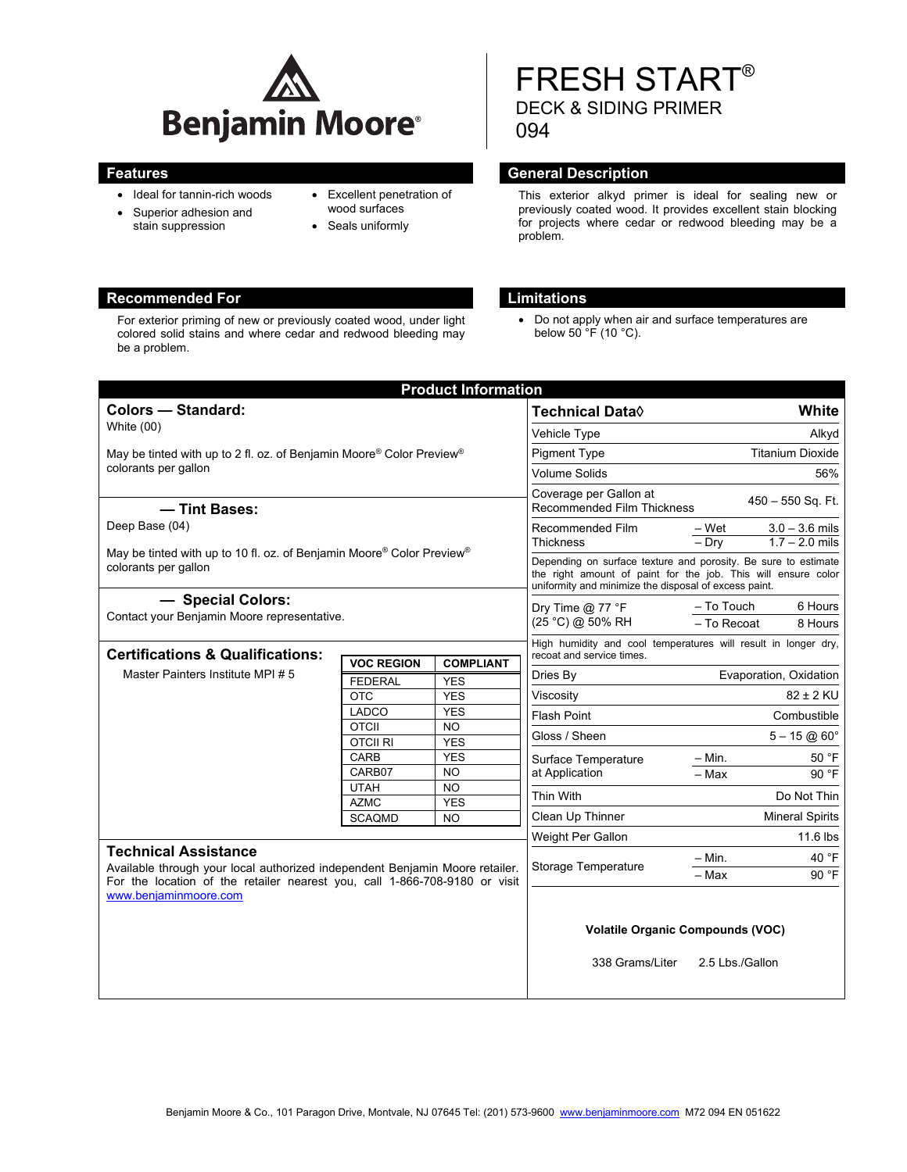

- Ideal for tannin-rich woods
- Superior adhesion and
- stain suppression
- Excellent penetration of wood surfaces
- Seals uniformly

## **Recommended For Limitations**

For exterior priming of new or previously coated wood, under light colored solid stains and where cedar and redwood bleeding may be a problem.

# FRESH START® DECK & SIDING PRIMER 094

## **Features General Description**

This exterior alkyd primer is ideal for sealing new or previously coated wood. It provides excellent stain blocking for projects where cedar or redwood bleeding may be a problem.

 Do not apply when air and surface temperatures are below  $50 \, \text{°F}$  (10 °C).

|                                                                                                                                                                                           |                                 | <b>Product Information</b> |                                                                                                                                                                                          |                                                                                    |                        |
|-------------------------------------------------------------------------------------------------------------------------------------------------------------------------------------------|---------------------------------|----------------------------|------------------------------------------------------------------------------------------------------------------------------------------------------------------------------------------|------------------------------------------------------------------------------------|------------------------|
| Colors - Standard:<br>White (00)                                                                                                                                                          |                                 |                            | <b>Technical Data</b> ♦                                                                                                                                                                  |                                                                                    | White                  |
|                                                                                                                                                                                           |                                 |                            | Vehicle Type                                                                                                                                                                             | Alkyd                                                                              |                        |
| May be tinted with up to 2 fl. oz. of Benjamin Moore® Color Preview®<br>colorants per gallon                                                                                              |                                 |                            | <b>Pigment Type</b>                                                                                                                                                                      | <b>Titanium Dioxide</b>                                                            |                        |
|                                                                                                                                                                                           |                                 |                            | <b>Volume Solids</b>                                                                                                                                                                     | 56%                                                                                |                        |
|                                                                                                                                                                                           |                                 |                            | Coverage per Gallon at                                                                                                                                                                   |                                                                                    |                        |
| - Tint Bases:                                                                                                                                                                             |                                 |                            | $450 - 550$ Sq. Ft.<br><b>Recommended Film Thickness</b>                                                                                                                                 |                                                                                    |                        |
| Deep Base (04)                                                                                                                                                                            |                                 |                            | Recommended Film                                                                                                                                                                         | – Wet                                                                              | $3.0 - 3.6$ mils       |
| May be tinted with up to 10 fl. oz. of Benjamin Moore® Color Preview®                                                                                                                     |                                 |                            | <b>Thickness</b>                                                                                                                                                                         | $1.7 - 2.0$ mils<br>$-$ Drv                                                        |                        |
| colorants per gallon                                                                                                                                                                      |                                 |                            | Depending on surface texture and porosity. Be sure to estimate<br>the right amount of paint for the job. This will ensure color<br>uniformity and minimize the disposal of excess paint. |                                                                                    |                        |
| - Special Colors:<br>Contact your Benjamin Moore representative.                                                                                                                          |                                 |                            | Dry Time $@$ 77 °F                                                                                                                                                                       | - To Touch                                                                         | 6 Hours                |
|                                                                                                                                                                                           |                                 |                            | (25 °C) @ 50% RH                                                                                                                                                                         | - To Recoat<br>8 Hours                                                             |                        |
|                                                                                                                                                                                           |                                 |                            | High humidity and cool temperatures will result in longer dry,                                                                                                                           |                                                                                    |                        |
| <b>Certifications &amp; Qualifications:</b><br>Master Painters Institute MPI # 5                                                                                                          | <b>VOC REGION</b>               | <b>COMPLIANT</b>           | recoat and service times.                                                                                                                                                                | Evaporation, Oxidation<br>$82 \pm 2$ KU<br>Combustible<br>$5 - 15 \omega 60^\circ$ |                        |
|                                                                                                                                                                                           | <b>FEDERAL</b>                  | <b>YES</b>                 | Dries By                                                                                                                                                                                 |                                                                                    |                        |
|                                                                                                                                                                                           | OTC                             | <b>YES</b>                 | Viscosity                                                                                                                                                                                |                                                                                    |                        |
|                                                                                                                                                                                           | <b>LADCO</b>                    | <b>YES</b>                 | Flash Point                                                                                                                                                                              |                                                                                    |                        |
|                                                                                                                                                                                           | <b>OTCII</b><br><b>OTCII RI</b> | <b>NO</b><br><b>YES</b>    | Gloss / Sheen                                                                                                                                                                            |                                                                                    |                        |
|                                                                                                                                                                                           | CARB                            | <b>YES</b>                 | Surface Temperature<br>at Application<br>Thin With                                                                                                                                       | $-$ Min.                                                                           | 50 °F                  |
|                                                                                                                                                                                           | CARB07                          | <b>NO</b>                  |                                                                                                                                                                                          | - Max                                                                              | 90 °F                  |
|                                                                                                                                                                                           | <b>UTAH</b>                     | <b>NO</b>                  |                                                                                                                                                                                          |                                                                                    |                        |
|                                                                                                                                                                                           | <b>AZMC</b>                     | <b>YES</b>                 |                                                                                                                                                                                          | Do Not Thin                                                                        |                        |
|                                                                                                                                                                                           | <b>SCAQMD</b>                   | <b>NO</b>                  | Clean Up Thinner                                                                                                                                                                         |                                                                                    | <b>Mineral Spirits</b> |
|                                                                                                                                                                                           |                                 |                            | Weight Per Gallon                                                                                                                                                                        |                                                                                    | 11.6 lbs               |
| <b>Technical Assistance</b><br>Available through your local authorized independent Benjamin Moore retailer.<br>For the location of the retailer nearest you, call 1-866-708-9180 or visit |                                 |                            | Storage Temperature                                                                                                                                                                      | – Min.                                                                             | 40 °F                  |
|                                                                                                                                                                                           |                                 |                            |                                                                                                                                                                                          | - Max                                                                              | 90 °F                  |
| www.beniaminmoore.com                                                                                                                                                                     |                                 |                            |                                                                                                                                                                                          |                                                                                    |                        |
|                                                                                                                                                                                           |                                 |                            |                                                                                                                                                                                          |                                                                                    |                        |
|                                                                                                                                                                                           |                                 |                            | <b>Volatile Organic Compounds (VOC)</b>                                                                                                                                                  |                                                                                    |                        |
|                                                                                                                                                                                           |                                 |                            |                                                                                                                                                                                          |                                                                                    |                        |
|                                                                                                                                                                                           |                                 |                            | 338 Grams/Liter                                                                                                                                                                          | 2.5 Lbs./Gallon                                                                    |                        |
|                                                                                                                                                                                           |                                 |                            |                                                                                                                                                                                          |                                                                                    |                        |
|                                                                                                                                                                                           |                                 |                            |                                                                                                                                                                                          |                                                                                    |                        |